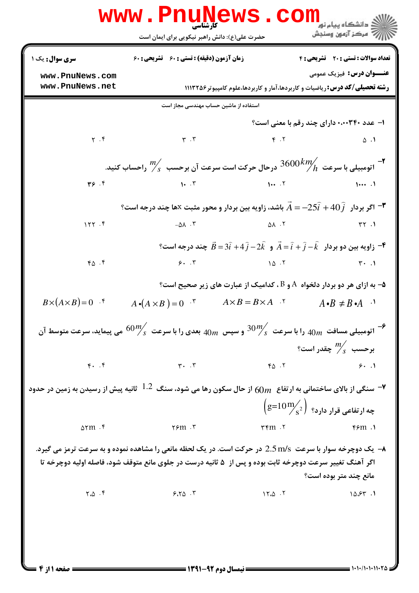| <b>www.PnuNews</b><br>$\text{COM}_{\text{spin-sip}}$ و دانشگاه پیام نو<br>کارشناسی                                          |                                                                                                                                       |                                    |                                                                                                                                      |  |  |
|-----------------------------------------------------------------------------------------------------------------------------|---------------------------------------------------------------------------------------------------------------------------------------|------------------------------------|--------------------------------------------------------------------------------------------------------------------------------------|--|--|
|                                                                                                                             | حضرت علی(ع): دانش راهبر نیکویی برای ایمان است                                                                                         |                                    | رآ مرڪز آزمون وسنڊش                                                                                                                  |  |  |
| <b>سری سوال :</b> یک ۱                                                                                                      | <b>زمان آزمون (دقیقه) : تستی : 60 گشریحی : 60</b>                                                                                     |                                    | تعداد سوالات : تستى : 20 تشريحي : 4                                                                                                  |  |  |
| www.PnuNews.com<br>www.PnuNews.net                                                                                          |                                                                                                                                       |                                    | <b>عنـــوان درس:</b> فیزیک عمومی<br><b>رشته تحصیلی/کد درس:</b> ریاضیات و کاربردها،آمار و کاربردها،علوم کامپیوتر1۱۱۳۲۵۶               |  |  |
| استفاده از ماشین حساب مهندسی مجاز است                                                                                       |                                                                                                                                       |                                    |                                                                                                                                      |  |  |
|                                                                                                                             |                                                                                                                                       |                                    | ۱– عدد ۲۴۰+۰۰۰ دارای چند رقم با معنی است؟                                                                                            |  |  |
| $\gamma$ . ۴                                                                                                                | $\mathbf{r}$ . $\mathbf{r}$                                                                                                           | $\gamma$ . T                       | $\Delta$ .                                                                                                                           |  |  |
| - اتومبیلی با سرعت $\frac{m}{h}$ درحال حرکت است سرعت آن برحسب $\frac{m}{s}$ راحساب کنید.                                    |                                                                                                                                       |                                    |                                                                                                                                      |  |  |
| $Y$ . $Y$                                                                                                                   | $1 \cdot 5$ $1 \cdot 5$ $1 \cdot 5$ $1 \cdot 5$ $1 \cdot 5$ $1 \cdot 5$ $1 \cdot 5$                                                   |                                    |                                                                                                                                      |  |  |
| اگر بردار $\widehat{j}$ + $40\widehat{j}$ + $A$ باشد، زاویه بین بردار و محور مثبت $\texttt{X}$ ها چند درجه است $\texttt{F}$ |                                                                                                                                       |                                    |                                                                                                                                      |  |  |
| 157.5                                                                                                                       | $-\Delta\lambda$ . ۳                                                                                                                  | $\Delta \lambda$ . T               | $\mathsf{r}\mathsf{r}$ . $\mathsf{r}\mathsf{r}$                                                                                      |  |  |
|                                                                                                                             |                                                                                                                                       |                                    | و کُر $\vec{B} = 3\widehat{i}+4\widehat{j} -2\widehat{k}$ و $\vec{A} = \widehat{i}+\widehat{j}+3\widehat{k}$ چند درجه است؟ $\vec{P}$ |  |  |
| 40.5                                                                                                                        |                                                                                                                                       | 9.7                                | $\uparrow \cdot \quad \uparrow$                                                                                                      |  |  |
|                                                                                                                             |                                                                                                                                       |                                    | ۵− به ازای هر دو بردار دلخواه  A و B ، کدامیک از عبارت های زیر صحیح است؟                                                             |  |  |
| $B\times(A\times B)=0$ .                                                                                                    | $A \cdot (A \times B) = 0$ $\cdot^{\mathsf{r}}$                                                                                       | $A \times B = B \times A$ .        | $A \cdot B \neq B \cdot A$ <sup>1</sup>                                                                                              |  |  |
| اتومبیلی مسافت $40m$ را با سرعت $\frac{30m}{s}$ و سپس $40m$ بعدی را با سرعت $\frac{60m}{s}$ می پیماید، سرعت متوسط آن $^{-$  |                                                                                                                                       |                                    |                                                                                                                                      |  |  |
|                                                                                                                             |                                                                                                                                       |                                    | برحسب $m_{\rm s}^{m}$ چقدر است؟                                                                                                      |  |  |
| $\mathfrak{f}$ . $\mathfrak{f}$                                                                                             | $\mathbf{r}$ . $\mathbf{r}$                                                                                                           | FA.7                               | 9.1                                                                                                                                  |  |  |
|                                                                                                                             | سنگی از بالای ساختمانی به ارتفاع $m$ 6) از حال سکون رها می شود، سنگ $^{-1.2}$ ثانیه پیش از رسیدن به زمین در حدود $\blacktriangledown$ |                                    |                                                                                                                                      |  |  |
|                                                                                                                             |                                                                                                                                       |                                    | $\left(\mathrm{g=}{10\,\mathrm{m}}_\mathrm{S}^2\right)~$ چه ارتفاعی قرار دارد؟                                                       |  |  |
| $\Delta \text{YM}$ .                                                                                                        | $\gamma$ ۶m $\cdot$ ۳                                                                                                                 | $\forall \mathfrak{m}$ . $\forall$ | $F/m$ .                                                                                                                              |  |  |
|                                                                                                                             | <b>۸- یک دوچرخه سوار با سرعت  2.5m/s در حرکت است. در یک لحظه مانعی را مشاهده نموده و به سرعت ترمز می گیرد.</b>                        |                                    |                                                                                                                                      |  |  |
|                                                                                                                             | اگر آهنگ تغییر سرعت دوچرخه ثابت بوده و پس از ۵ ثانیه درست در جلوی مانع متوقف شود، فاصله اولیه دوچرخه تا                               |                                    | مانع چند متر بوده است؟                                                                                                               |  |  |
| $Y \cdot \Delta$ .                                                                                                          | 9.70.7                                                                                                                                | $15.0 \cdot 7$                     | $10.55$ $\cdot$ $\cdot$                                                                                                              |  |  |
|                                                                                                                             |                                                                                                                                       |                                    |                                                                                                                                      |  |  |
|                                                                                                                             |                                                                                                                                       |                                    |                                                                                                                                      |  |  |
|                                                                                                                             |                                                                                                                                       |                                    |                                                                                                                                      |  |  |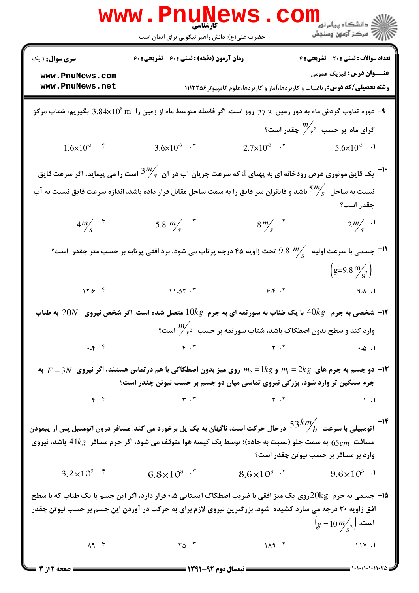|                                                                                                                                                                                                                                                                                  | WWW.Pnunt<br>حضرت علی(ع): دانش راهبر نیکویی برای ایمان است                                                                                                                                                                                                                                                                                                    |                       | ڪ دانشڪاه پيا <sub>م</sub> نور<br><mark>∕</mark> 7 مرڪز آزمون وسنڊش                 |  |
|----------------------------------------------------------------------------------------------------------------------------------------------------------------------------------------------------------------------------------------------------------------------------------|---------------------------------------------------------------------------------------------------------------------------------------------------------------------------------------------------------------------------------------------------------------------------------------------------------------------------------------------------------------|-----------------------|-------------------------------------------------------------------------------------|--|
| <b>سری سوال :</b> ۱ یک                                                                                                                                                                                                                                                           | زمان آزمون (دقیقه) : تستی : 60 تشریحی : 60                                                                                                                                                                                                                                                                                                                    |                       | تعداد سوالات : تستى : 20 تشريحي : 4                                                 |  |
| www.PnuNews.com                                                                                                                                                                                                                                                                  |                                                                                                                                                                                                                                                                                                                                                               |                       | <b>عنـــوان درس:</b> فیزیک عمومی                                                    |  |
| www.PnuNews.net                                                                                                                                                                                                                                                                  |                                                                                                                                                                                                                                                                                                                                                               |                       | <b>رشته تحصیلی/کد درس:</b> ریاضیات و کاربردها،آمار و کاربردها،علوم کامپیوتر ۱۱۱۳۲۵۶ |  |
| دوره تناوب گردش ماه به دور زمین 27.3 روز است. اگر فاصله متوسط ماه از زمین را $10^8\,\rm{m}$ 3.84x $10^8\,\rm{m}$ بگیریم، شتاب مرکز $\,$                                                                                                                                          |                                                                                                                                                                                                                                                                                                                                                               |                       |                                                                                     |  |
|                                                                                                                                                                                                                                                                                  |                                                                                                                                                                                                                                                                                                                                                               |                       | گرای ماه بر حسب $\frac{m}{s^2}$ چقدر است؟                                           |  |
| $1.6 \times 10^{-3}$ .                                                                                                                                                                                                                                                           | 3.6×10 <sup>-3</sup> $\cdot$ $\cdot$                                                                                                                                                                                                                                                                                                                          |                       | $2.7 \times 10^{-3}$ . T $5.6 \times 10^{-3}$ .                                     |  |
|                                                                                                                                                                                                                                                                                  | یک قایق موتوری عرض رودخانه ای به پهنای $d$ که سرعت جریان آب در آن $\frac{3^m}{s}$ است را می پیماید، اگر سرعت قایق $^{-1}$                                                                                                                                                                                                                                     |                       |                                                                                     |  |
|                                                                                                                                                                                                                                                                                  | نسبت به ساحل $5\frac{m}{s}$ باشد و قایقران سر قایق را به سمت ساحل مقابل قرار داده باشد، اندازه سرعت قایق نسبت به آب                                                                                                                                                                                                                                           |                       |                                                                                     |  |
|                                                                                                                                                                                                                                                                                  |                                                                                                                                                                                                                                                                                                                                                               |                       | چقدر است؟                                                                           |  |
| $4m/$ f                                                                                                                                                                                                                                                                          | 5.8 $m/s$ $\cdot$ $\cdot$                                                                                                                                                                                                                                                                                                                                     | $8m/$ $\cdot$ $\cdot$ | $2m/s$ $\lambda$                                                                    |  |
|                                                                                                                                                                                                                                                                                  | 9.8 " تحت زاویه ۴۵ درجه پرتاب می شود، برد افقی پرتابه بر حسب متر چقدر $9.8\,$ $m_{\!{}_S}^{\prime}$                                                                                                                                                                                                                                                           |                       | <sup>11-</sup> جسمی با سرعت اولیه                                                   |  |
|                                                                                                                                                                                                                                                                                  |                                                                                                                                                                                                                                                                                                                                                               |                       | $\left( \frac{g}{9.8} \frac{m}{s^2} \right)$                                        |  |
| 15.5.1                                                                                                                                                                                                                                                                           | 11.27.7                                                                                                                                                                                                                                                                                                                                                       | 9.8                   | $\mathsf{A}$ . $\mathsf{A}$ . $\mathsf{A}$                                          |  |
|                                                                                                                                                                                                                                                                                  | ا- شخصی به جرم $\;$ 40k با یک طناب به سورتمه ای به جرم $\;10kg$ متصل شده است. اگر شخص نیروی $\;20N$ به طناب $\;$                                                                                                                                                                                                                                              |                       |                                                                                     |  |
|                                                                                                                                                                                                                                                                                  | وارد کند و سطح بدون اصطکاک باشد، شتاب سورتمه بر حسب $\frac{m'}{s^2}$ است؟                                                                                                                                                                                                                                                                                     |                       |                                                                                     |  |
|                                                                                                                                                                                                                                                                                  | $\mathbf{F} \cdot \mathbf{Y}$ $\mathbf{Y} \cdot \mathbf{Y}$ $\mathbf{Y} \cdot \mathbf{Y}$ $\mathbf{Y} \cdot \mathbf{Y}$                                                                                                                                                                                                                                       |                       |                                                                                     |  |
|                                                                                                                                                                                                                                                                                  | به $F=3N$ و $m_2=1$ روی میز بدون اصطکاکی با هم در تماس هستند، اگر نیروی $m_1=2$ به $F=3N$ به $\blacksquare$<br>جرم سنگین تر وارد شود، بزرگی نیروی تماسی میان دو جسم بر حسب نیوتن چقدر است؟                                                                                                                                                                    |                       |                                                                                     |  |
|                                                                                                                                                                                                                                                                                  |                                                                                                                                                                                                                                                                                                                                                               |                       |                                                                                     |  |
|                                                                                                                                                                                                                                                                                  | $\gamma$ . $\gamma$ . $\gamma$ . $\gamma$ . $\gamma$ . $\gamma$ . $\gamma$ . $\gamma$ . $\gamma$ . $\gamma$ . $\gamma$ . $\gamma$ . $\gamma$ . $\gamma$ . $\gamma$ . $\gamma$ . $\gamma$ . $\gamma$ . $\gamma$ . $\gamma$ . $\gamma$ . $\gamma$ . $\gamma$ . $\gamma$ . $\gamma$ . $\gamma$ . $\gamma$ . $\gamma$ . $\gamma$ . $\gamma$ . $\gamma$ . $\gamma$ |                       |                                                                                     |  |
| ا–<br>اتومبیلی با سرعت $53\,km\!/$ درحال حرکت است، ناگهان به یک پل برخورد می کند. مسافر درون اتومبیل پس از پیمودن $53\,km\!/$<br>مسافت $65cm$ به سمت جلو (نسبت به جاده)؛ توسط یک کیسه هوا متوقف می شود، اگر جرم مسافر $41kg$ باشد، نیروی<br>وارد بر مسافر بر حسب نیوتن چقدر است؟ |                                                                                                                                                                                                                                                                                                                                                               |                       |                                                                                     |  |
|                                                                                                                                                                                                                                                                                  | $3.2 \times 10^{3}$ f $6.8 \times 10^{3}$ f $8.6 \times 10^{3}$ f $9.6 \times 10^{3}$ j                                                                                                                                                                                                                                                                       |                       |                                                                                     |  |
|                                                                                                                                                                                                                                                                                  | ۱۵- جسمی به جرم $\log{2}$ روی یک میز افقی با ضریب اصطکاک ایستایی ۰،۵ قرار دارد، اگر این جسم با یک طناب که با سطح                                                                                                                                                                                                                                              |                       |                                                                                     |  |
|                                                                                                                                                                                                                                                                                  | افق زاویه ۳۰ درجه می سازد کشیده ًشود، بزرگترین نیروی لازم برای به حرکت در آوردن این جسم بر حسب نیوتن چقدر                                                                                                                                                                                                                                                     |                       | $\left(g=10\,\frac{m}{s^2}\right)$ . است                                            |  |
| $\lambda$ 9. $\zeta$                                                                                                                                                                                                                                                             | $\Upsilon \Delta$ .                                                                                                                                                                                                                                                                                                                                           | $1\wedge9$ $.7$       | 11Y.1                                                                               |  |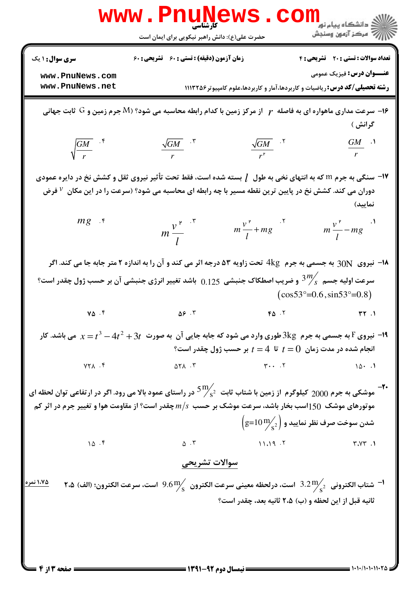|                                    | <b>www . Pn</b><br><b>کار شناسی</b><br>حضرت علی(ع): دانش راهبر نیکویی برای ایمان است                                                                                                                                                       | ڪ دانشڪاه پيا <sub>م</sub> نور<br>ر <i>ا</i> ⊂ مرڪز آزمون وسنڊش                                                              |
|------------------------------------|--------------------------------------------------------------------------------------------------------------------------------------------------------------------------------------------------------------------------------------------|------------------------------------------------------------------------------------------------------------------------------|
| <b>سری سوال :</b> ۱ یک             | <b>زمان آزمون (دقیقه) : تستی : 60 ٪ تشریحی : 60</b>                                                                                                                                                                                        | <b>تعداد سوالات : تستی : 20 - تشریحی : 4</b>                                                                                 |
| www.PnuNews.com<br>www.PnuNews.net |                                                                                                                                                                                                                                            | <b>عنـــوان درس:</b> فیزیک عمومی<br><b>رشته تحصیلی/کد درس: ر</b> یاضیات و کاربردها،آمار و کاربردها،علوم کامپیوتر ۱۱۱۳۲۵۶     |
|                                    | از مرکز زمین و $\rm G$ ثابت جهانی T اسرعت مداری ماهواره ای به فاصله $r$ از مرکز زمین با کدام رابطه محاسبه می شود؟ $\rm M$ جرم زمین و $\rm G$ ثابت جهانی $\bullet$                                                                          | گرانش )                                                                                                                      |
| $\sqrt{\frac{GM}{r}}$ .*           | $\frac{\sqrt{GM}}{r^r}$ . T<br>$\frac{\sqrt{GM}}{r}$ . $\sqrt{r}$                                                                                                                                                                          | $\frac{GM}{r}$ .                                                                                                             |
|                                    | <b>۱۷</b> - سنگی به جرم m که به انتهای نخی به طول $\,$ بسته شده است، فقط تحت تأثیر نیروی ثقل و کشش نخ در دایره عمودی<br>دوران می کند. کشش نخ در پایین ترین نقطه مسیر با چه رابطه ای محاسبه می شود؟ (سرعت را در این مکان <sup>7</sup> فرض   | نمایید)                                                                                                                      |
| $mg$ .                             | $m \frac{v^{v}}{I}$ . $\frac{v}{I}$<br>$m\frac{v^{r}}{l}+mg$ .                                                                                                                                                                             | $m\frac{v^{\nu}}{l}$ - mg <sup>1</sup>                                                                                       |
|                                    | <b>۱۸</b> - نیروی  30N به جسمی به جرم  4kg  تحت زاویه ۵۳ درجه اثر می کند و آن را به اندازه ۲ متر جابه جا می کند. اگر                                                                                                                       |                                                                                                                              |
|                                    | سرعت اولیه جسم $\frac{3m'}{s}$ و ضریب اصطکاک جنبشی $0.125$ باشد تغییر انرژی جنبشی آن بر حسب ژول چقدر است؟                                                                                                                                  | $(cos53^{\circ}=0.6, sin53^{\circ}=0.8)$                                                                                     |
| $Y\Delta$ .                        | $\Delta S$ .                                                                                                                                                                                                                               | $FA \t M$                                                                                                                    |
|                                    | ا- نیروی F به جسمی به جرم $\log \log \log \log \log$ طوری وارد می شود که جابه جایی آن به صورت $3t+4t^2+3t-x$ می باشد. کار $\mathsf F$                                                                                                      | انجام شده در مدت زمان $t=0$ تا $t=4$ بر حسب ژول چقدر است؟                                                                    |
| $YY$ $\wedge$ $Y$                  | $\forall \cdot \cdot \cdot \cdot \forall$<br>$\Delta Y$ $\Lambda$ $\Lambda$                                                                                                                                                                | $10 \cdot 1$                                                                                                                 |
|                                    | ه داموشکی به جرم 2000 کیلوگرم از زمین با شتاب ثابت $\frac{5}{5}$ در راستای عمود بالا می رود. اگر در ارتفاعی توان لحظه ای $\sim$<br>موتورهای موشک $150$ اسب بخار باشد، سرعت موشک بر حسب $n/s$ چقدر است؟ از مقاومت هوا و تغییر جرم در اثر کم |                                                                                                                              |
|                                    |                                                                                                                                                                                                                                            | $\left(\text{g=10}\,\text{m}_\text{\ensuremath{\mathcal{S}}\,2}^\text{\large{\textsf{M}}} \right)$ شدن سوخت صرف نظر نمایید و |
| 10.5                               |                                                                                                                                                                                                                                            | Y. YY.1                                                                                                                      |
|                                    | سوالات تشريحي                                                                                                                                                                                                                              |                                                                                                                              |
| ۱،۷۵ نمره                          | متاب الكترونى $\frac{1}{\pi}$ 3.2 است، درلحظه معينى سرعت الكترون $\frac{9.6}{\pi}$ 9.6 است، سرعت الكترون؛ (الف) ۲،۵ $^{-1}$                                                                                                                |                                                                                                                              |
|                                    |                                                                                                                                                                                                                                            | ثانيه قبل از اين لحظه و (ب) ٢،۵ ثانيه بعد، چقدر است؟                                                                         |
|                                    |                                                                                                                                                                                                                                            |                                                                                                                              |
|                                    |                                                                                                                                                                                                                                            |                                                                                                                              |
|                                    |                                                                                                                                                                                                                                            |                                                                                                                              |